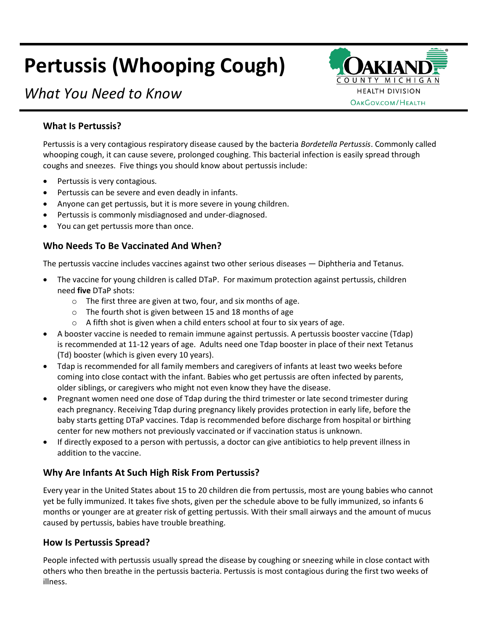# **Pertussis (Whooping Cough)**



# *What You Need to Know*

# **What Is Pertussis?**

Pertussis is a very contagious respiratory disease caused by the bacteria *Bordetella Pertussis*. Commonly called whooping cough, it can cause severe, prolonged coughing. This bacterial infection is easily spread through coughs and sneezes. Five things you should know about pertussis include:

- Pertussis is very contagious.
- Pertussis can be severe and even deadly in infants.
- Anyone can get pertussis, but it is more severe in young children.
- Pertussis is commonly misdiagnosed and under-diagnosed.
- You can get pertussis more than once.

# **Who Needs To Be Vaccinated And When?**

The pertussis vaccine includes vaccines against two other serious diseases — Diphtheria and Tetanus.

- The vaccine for young children is called DTaP. For maximum protection against pertussis, children need **five** DTaP shots:
	- o The first three are given at two, four, and six months of age.
	- o The fourth shot is given between 15 and 18 months of age
	- $\circ$  A fifth shot is given when a child enters school at four to six years of age.
- A booster vaccine is needed to remain immune against pertussis. A pertussis booster vaccine (Tdap) is recommended at 11-12 years of age. Adults need one Tdap booster in place of their next Tetanus (Td) booster (which is given every 10 years).
- Tdap is recommended for all family members and caregivers of infants at least two weeks before coming into close contact with the infant. Babies who get pertussis are often infected by parents, older siblings, or caregivers who might not even know they have the disease.
- Pregnant women need one dose of Tdap during the third trimester or late second trimester during each pregnancy. Receiving Tdap during pregnancy likely provides protection in early life, before the baby starts getting DTaP vaccines. Tdap is recommended before discharge from hospital or birthing center for new mothers not previously vaccinated or if vaccination status is unknown.
- If directly exposed to a person with pertussis, a doctor can give antibiotics to help prevent illness in addition to the vaccine.

# **Why Are Infants At Such High Risk From Pertussis?**

Every year in the United States about 15 to 20 children die from pertussis, most are young babies who cannot yet be fully immunized. It takes five shots, given per the schedule above to be fully immunized, so infants 6 months or younger are at greater risk of getting pertussis. With their small airways and the amount of mucus caused by pertussis, babies have trouble breathing.

#### **How Is Pertussis Spread?**

People infected with pertussis usually spread the disease by coughing or sneezing while in close contact with others who then breathe in the pertussis bacteria. Pertussis is most contagious during the first two weeks of illness.